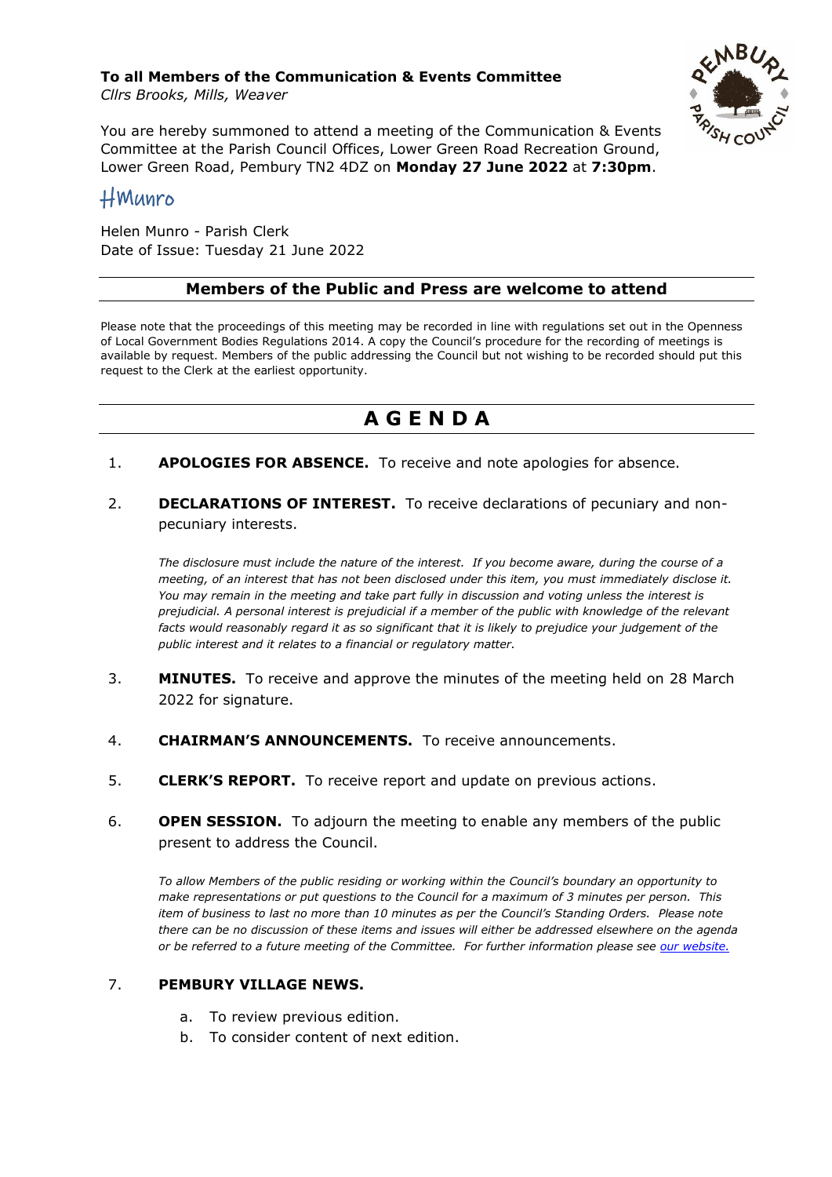#### **To all Members of the Communication & Events Committee** *Cllrs Brooks, Mills, Weaver*



You are hereby summoned to attend a meeting of the Communication & Events Committee at the Parish Council Offices, Lower Green Road Recreation Ground, Lower Green Road, Pembury TN2 4DZ on **Monday 27 June 2022** at **7:30pm**.

# HMunro

Helen Munro - Parish Clerk Date of Issue: Tuesday 21 June 2022

#### **Members of the Public and Press are welcome to attend**

Please note that the proceedings of this meeting may be recorded in line with regulations set out in the Openness of Local Government Bodies Regulations 2014. A copy the Council's procedure for the recording of meetings is available by request. Members of the public addressing the Council but not wishing to be recorded should put this request to the Clerk at the earliest opportunity.

# **A G E N D A**

- 1. **APOLOGIES FOR ABSENCE.** To receive and note apologies for absence.
- 2. **DECLARATIONS OF INTEREST.** To receive declarations of pecuniary and nonpecuniary interests.

*The disclosure must include the nature of the interest. If you become aware, during the course of a meeting, of an interest that has not been disclosed under this item, you must immediately disclose it. You may remain in the meeting and take part fully in discussion and voting unless the interest is prejudicial. A personal interest is prejudicial if a member of the public with knowledge of the relevant facts would reasonably regard it as so significant that it is likely to prejudice your judgement of the public interest and it relates to a financial or regulatory matter.*

- 3. **MINUTES.** To receive and approve the minutes of the meeting held on 28 March 2022 for signature.
- 4. **CHAIRMAN'S ANNOUNCEMENTS.** To receive announcements.
- 5. **CLERK'S REPORT.** To receive report and update on previous actions.
- 6. **OPEN SESSION.** To adjourn the meeting to enable any members of the public present to address the Council.

*To allow Members of the public residing or working within the Council's boundary an opportunity to make representations or put questions to the Council for a maximum of 3 minutes per person. This item of business to last no more than 10 minutes as per the Council's Standing Orders. Please note there can be no discussion of these items and issues will either be addressed elsewhere on the agenda or be referred to a future meeting of the Committee. For further information please see [our website.](https://pemburyparishcouncil.gov.uk/wp-content/uploads/2021/11/Public-Participation.pdf)*

#### 7. **PEMBURY VILLAGE NEWS.**

- a. To review previous edition.
- b. To consider content of next edition.